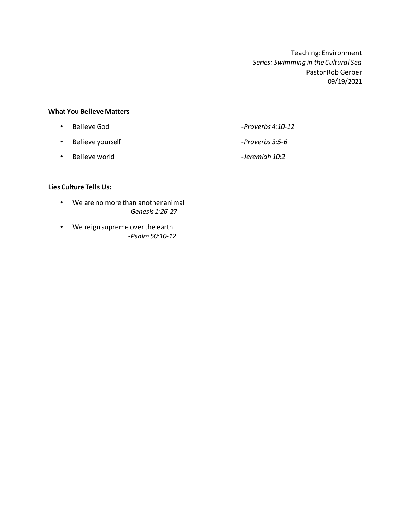Teaching: Environment *Series: Swimming in the Cultural Sea* Pastor Rob Gerber 09/19/2021

## **What You Believe Matters**

| $\bullet$ | Believe God      | -Proverbs 4:10-12 |
|-----------|------------------|-------------------|
| $\bullet$ | Believe yourself | -Proverbs 3:5-6   |

• Believe world *-Jeremiah 10:2*

## **Lies Culture Tells Us:**

- We are no more than another animal *-Genesis 1:26-27*
- We reign supreme over the earth *-Psalm 50:10-12*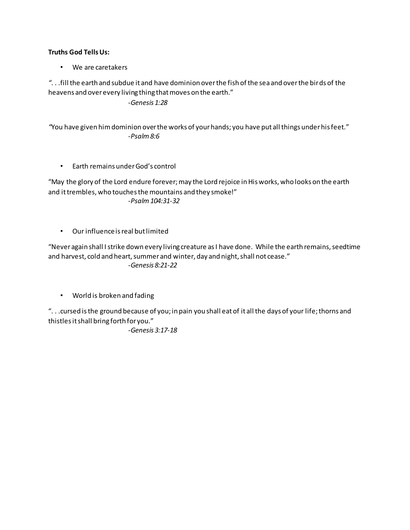## **Truths God Tells Us:**

• We are caretakers

*"*. . .fill the earth and subdue it and have dominion over the fish of the sea and over the birds of the heavens and over every living thing that moves on the earth."

*-Genesis 1:28*

*"*You have given him dominion over the works of your hands; you have put all things under his feet." *-Psalm 8:6*

• Earth remains under God's control

"May the glory of the Lord endure forever; may the Lord rejoice in His works, who looks on the earth and it trembles, who touches the mountains and they smoke!" *-Psalm 104:31-32*

• Our influence is real but limited

"Never again shall I strike down every living creature as I have done. While the earth remains, seedtime and harvest, cold and heart, summer and winter, day and night, shall not cease." *-Genesis 8:21-22*

• World is broken and fading

". . .cursed is the ground because of you; in pain you shall eat of it all the days of your life; thorns and thistles it shall bring forth for you."

*-Genesis 3:17-18*